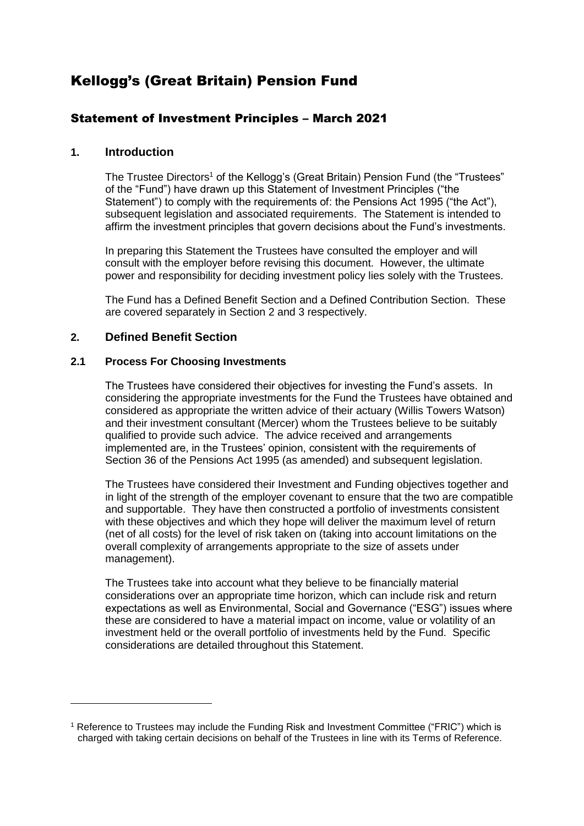# Kellogg's (Great Britain) Pension Fund

# Statement of Investment Principles – March 2021

# **1. Introduction**

The Trustee Directors<sup>1</sup> of the Kellogg's (Great Britain) Pension Fund (the "Trustees" of the "Fund") have drawn up this Statement of Investment Principles ("the Statement") to comply with the requirements of: the Pensions Act 1995 ("the Act"), subsequent legislation and associated requirements. The Statement is intended to affirm the investment principles that govern decisions about the Fund's investments.

In preparing this Statement the Trustees have consulted the employer and will consult with the employer before revising this document. However, the ultimate power and responsibility for deciding investment policy lies solely with the Trustees.

The Fund has a Defined Benefit Section and a Defined Contribution Section. These are covered separately in Section 2 and 3 respectively.

# **2. Defined Benefit Section**

<u>.</u>

# **2.1 Process For Choosing Investments**

The Trustees have considered their objectives for investing the Fund's assets. In considering the appropriate investments for the Fund the Trustees have obtained and considered as appropriate the written advice of their actuary (Willis Towers Watson) and their investment consultant (Mercer) whom the Trustees believe to be suitably qualified to provide such advice. The advice received and arrangements implemented are, in the Trustees' opinion, consistent with the requirements of Section 36 of the Pensions Act 1995 (as amended) and subsequent legislation.

The Trustees have considered their Investment and Funding objectives together and in light of the strength of the employer covenant to ensure that the two are compatible and supportable. They have then constructed a portfolio of investments consistent with these objectives and which they hope will deliver the maximum level of return (net of all costs) for the level of risk taken on (taking into account limitations on the overall complexity of arrangements appropriate to the size of assets under management).

The Trustees take into account what they believe to be financially material considerations over an appropriate time horizon, which can include risk and return expectations as well as Environmental, Social and Governance ("ESG") issues where these are considered to have a material impact on income, value or volatility of an investment held or the overall portfolio of investments held by the Fund. Specific considerations are detailed throughout this Statement.

<sup>1</sup> Reference to Trustees may include the Funding Risk and Investment Committee ("FRIC") which is charged with taking certain decisions on behalf of the Trustees in line with its Terms of Reference.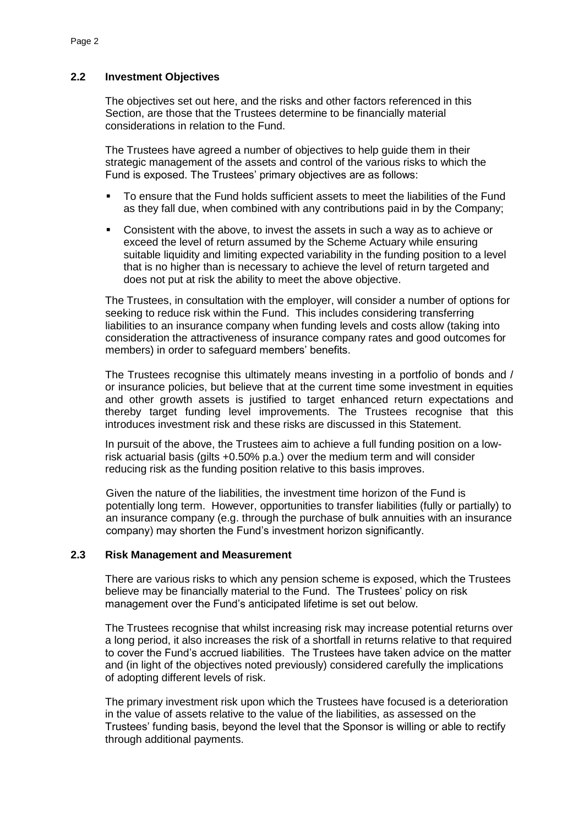# **2.2 Investment Objectives**

The objectives set out here, and the risks and other factors referenced in this Section, are those that the Trustees determine to be financially material considerations in relation to the Fund.

The Trustees have agreed a number of objectives to help guide them in their strategic management of the assets and control of the various risks to which the Fund is exposed. The Trustees' primary objectives are as follows:

- To ensure that the Fund holds sufficient assets to meet the liabilities of the Fund as they fall due, when combined with any contributions paid in by the Company;
- Consistent with the above, to invest the assets in such a way as to achieve or exceed the level of return assumed by the Scheme Actuary while ensuring suitable liquidity and limiting expected variability in the funding position to a level that is no higher than is necessary to achieve the level of return targeted and does not put at risk the ability to meet the above objective.

The Trustees, in consultation with the employer, will consider a number of options for seeking to reduce risk within the Fund. This includes considering transferring liabilities to an insurance company when funding levels and costs allow (taking into consideration the attractiveness of insurance company rates and good outcomes for members) in order to safeguard members' benefits.

The Trustees recognise this ultimately means investing in a portfolio of bonds and / or insurance policies, but believe that at the current time some investment in equities and other growth assets is justified to target enhanced return expectations and thereby target funding level improvements. The Trustees recognise that this introduces investment risk and these risks are discussed in this Statement.

In pursuit of the above, the Trustees aim to achieve a full funding position on a lowrisk actuarial basis (gilts +0.50% p.a.) over the medium term and will consider reducing risk as the funding position relative to this basis improves.

Given the nature of the liabilities, the investment time horizon of the Fund is potentially long term. However, opportunities to transfer liabilities (fully or partially) to an insurance company (e.g. through the purchase of bulk annuities with an insurance company) may shorten the Fund's investment horizon significantly.

### **2.3 Risk Management and Measurement**

There are various risks to which any pension scheme is exposed, which the Trustees believe may be financially material to the Fund. The Trustees' policy on risk management over the Fund's anticipated lifetime is set out below.

The Trustees recognise that whilst increasing risk may increase potential returns over a long period, it also increases the risk of a shortfall in returns relative to that required to cover the Fund's accrued liabilities. The Trustees have taken advice on the matter and (in light of the objectives noted previously) considered carefully the implications of adopting different levels of risk.

The primary investment risk upon which the Trustees have focused is a deterioration in the value of assets relative to the value of the liabilities, as assessed on the Trustees' funding basis, beyond the level that the Sponsor is willing or able to rectify through additional payments.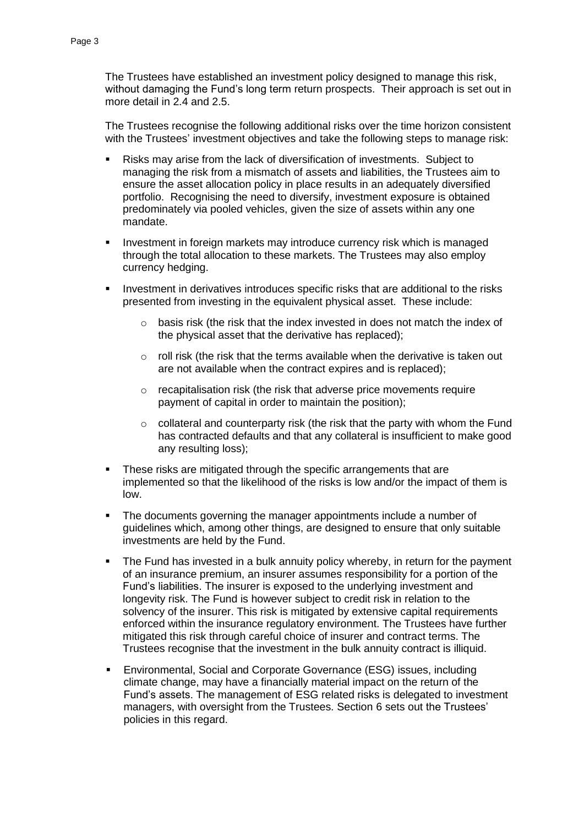The Trustees have established an investment policy designed to manage this risk, without damaging the Fund's long term return prospects. Their approach is set out in more detail in 2.4 and 2.5.

The Trustees recognise the following additional risks over the time horizon consistent with the Trustees' investment objectives and take the following steps to manage risk:

- Risks may arise from the lack of diversification of investments. Subject to managing the risk from a mismatch of assets and liabilities, the Trustees aim to ensure the asset allocation policy in place results in an adequately diversified portfolio. Recognising the need to diversify, investment exposure is obtained predominately via pooled vehicles, given the size of assets within any one mandate.
- Investment in foreign markets may introduce currency risk which is managed through the total allocation to these markets. The Trustees may also employ currency hedging.
- **Investment in derivatives introduces specific risks that are additional to the risks** presented from investing in the equivalent physical asset. These include:
	- o basis risk (the risk that the index invested in does not match the index of the physical asset that the derivative has replaced);
	- o roll risk (the risk that the terms available when the derivative is taken out are not available when the contract expires and is replaced);
	- o recapitalisation risk (the risk that adverse price movements require payment of capital in order to maintain the position);
	- $\circ$  collateral and counterparty risk (the risk that the party with whom the Fund has contracted defaults and that any collateral is insufficient to make good any resulting loss);
- **These risks are mitigated through the specific arrangements that are** implemented so that the likelihood of the risks is low and/or the impact of them is low.
- The documents governing the manager appointments include a number of guidelines which, among other things, are designed to ensure that only suitable investments are held by the Fund.
- The Fund has invested in a bulk annuity policy whereby, in return for the payment of an insurance premium, an insurer assumes responsibility for a portion of the Fund's liabilities. The insurer is exposed to the underlying investment and longevity risk. The Fund is however subject to credit risk in relation to the solvency of the insurer. This risk is mitigated by extensive capital requirements enforced within the insurance regulatory environment. The Trustees have further mitigated this risk through careful choice of insurer and contract terms. The Trustees recognise that the investment in the bulk annuity contract is illiquid.
- Environmental, Social and Corporate Governance (ESG) issues, including climate change, may have a financially material impact on the return of the Fund's assets. The management of ESG related risks is delegated to investment managers, with oversight from the Trustees. Section 6 sets out the Trustees' policies in this regard.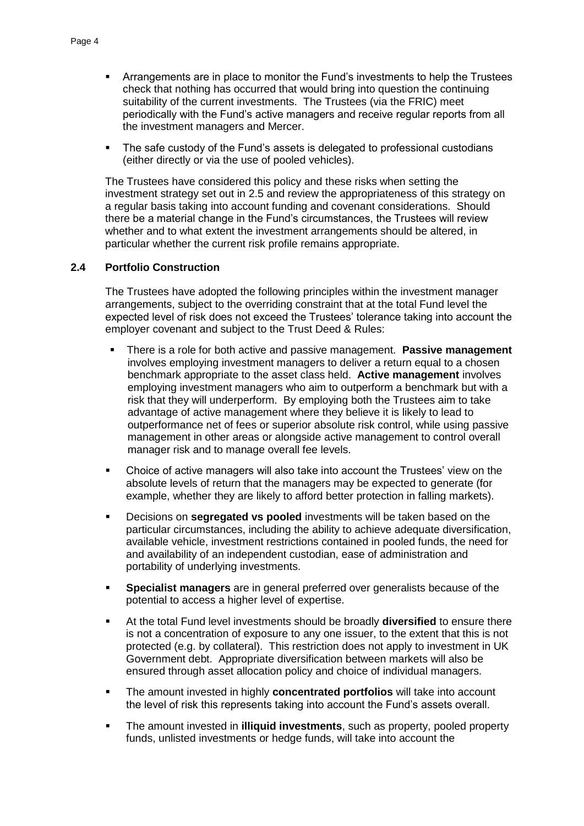- Arrangements are in place to monitor the Fund's investments to help the Trustees check that nothing has occurred that would bring into question the continuing suitability of the current investments. The Trustees (via the FRIC) meet periodically with the Fund's active managers and receive regular reports from all the investment managers and Mercer.
- The safe custody of the Fund's assets is delegated to professional custodians (either directly or via the use of pooled vehicles).

The Trustees have considered this policy and these risks when setting the investment strategy set out in 2.5 and review the appropriateness of this strategy on a regular basis taking into account funding and covenant considerations. Should there be a material change in the Fund's circumstances, the Trustees will review whether and to what extent the investment arrangements should be altered, in particular whether the current risk profile remains appropriate.

# **2.4 Portfolio Construction**

The Trustees have adopted the following principles within the investment manager arrangements, subject to the overriding constraint that at the total Fund level the expected level of risk does not exceed the Trustees' tolerance taking into account the employer covenant and subject to the Trust Deed & Rules:

- There is a role for both active and passive management. **Passive management**  involves employing investment managers to deliver a return equal to a chosen benchmark appropriate to the asset class held. **Active management** involves employing investment managers who aim to outperform a benchmark but with a risk that they will underperform. By employing both the Trustees aim to take advantage of active management where they believe it is likely to lead to outperformance net of fees or superior absolute risk control, while using passive management in other areas or alongside active management to control overall manager risk and to manage overall fee levels.
- Choice of active managers will also take into account the Trustees' view on the absolute levels of return that the managers may be expected to generate (for example, whether they are likely to afford better protection in falling markets).
- **Decisions on segregated vs pooled** investments will be taken based on the particular circumstances, including the ability to achieve adequate diversification, available vehicle, investment restrictions contained in pooled funds, the need for and availability of an independent custodian, ease of administration and portability of underlying investments.
- **Specialist managers** are in general preferred over generalists because of the potential to access a higher level of expertise.
- At the total Fund level investments should be broadly **diversified** to ensure there is not a concentration of exposure to any one issuer, to the extent that this is not protected (e.g. by collateral). This restriction does not apply to investment in UK Government debt. Appropriate diversification between markets will also be ensured through asset allocation policy and choice of individual managers.
- The amount invested in highly **concentrated portfolios** will take into account the level of risk this represents taking into account the Fund's assets overall.
- The amount invested in **illiquid investments**, such as property, pooled property funds, unlisted investments or hedge funds, will take into account the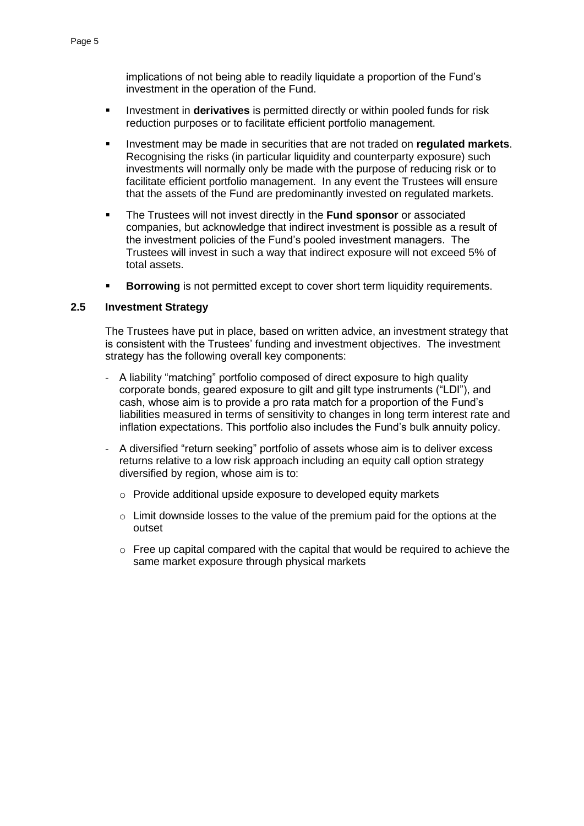implications of not being able to readily liquidate a proportion of the Fund's investment in the operation of the Fund.

- Investment in **derivatives** is permitted directly or within pooled funds for risk reduction purposes or to facilitate efficient portfolio management.
- Investment may be made in securities that are not traded on **regulated markets**. Recognising the risks (in particular liquidity and counterparty exposure) such investments will normally only be made with the purpose of reducing risk or to facilitate efficient portfolio management. In any event the Trustees will ensure that the assets of the Fund are predominantly invested on regulated markets.
- The Trustees will not invest directly in the **Fund sponsor** or associated companies, but acknowledge that indirect investment is possible as a result of the investment policies of the Fund's pooled investment managers. The Trustees will invest in such a way that indirect exposure will not exceed 5% of total assets.
- **Borrowing** is not permitted except to cover short term liquidity requirements.

# **2.5 Investment Strategy**

The Trustees have put in place, based on written advice, an investment strategy that is consistent with the Trustees' funding and investment objectives. The investment strategy has the following overall key components:

- A liability "matching" portfolio composed of direct exposure to high quality corporate bonds, geared exposure to gilt and gilt type instruments ("LDI"), and cash, whose aim is to provide a pro rata match for a proportion of the Fund's liabilities measured in terms of sensitivity to changes in long term interest rate and inflation expectations. This portfolio also includes the Fund's bulk annuity policy.
- A diversified "return seeking" portfolio of assets whose aim is to deliver excess returns relative to a low risk approach including an equity call option strategy diversified by region, whose aim is to:
	- o Provide additional upside exposure to developed equity markets
	- o Limit downside losses to the value of the premium paid for the options at the outset
	- o Free up capital compared with the capital that would be required to achieve the same market exposure through physical markets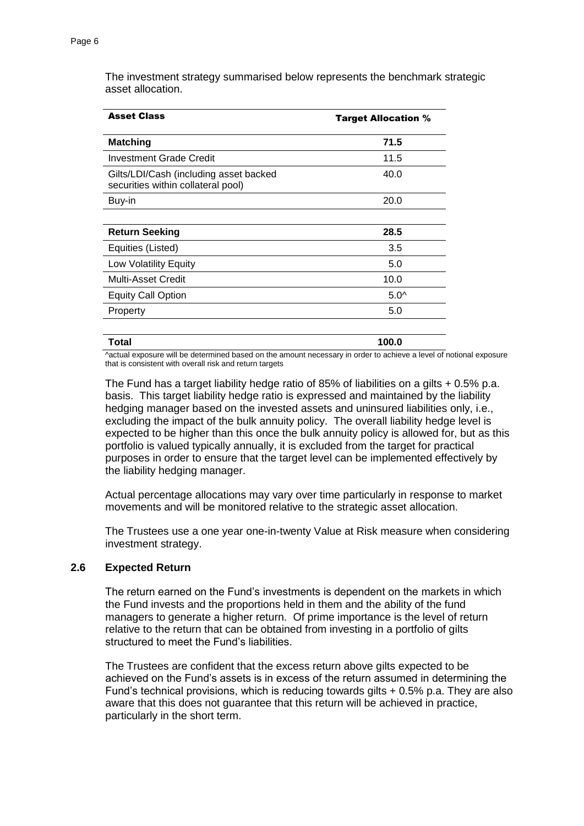Asset Class **Target Allocation % Matching 71.5** Investment Grade Credit 11.5 Gilts/LDI/Cash (including asset backed securities within collateral pool) 40.0 Buy-in 20.0 **Return Seeking 28.5** Equities (Listed) 3.5 Low Volatility Equity **6.0** November 2012 12:30 November 2013 Multi-Asset Credit 10.0 Equity Call Option 5.0^ Property 5.0

The investment strategy summarised below represents the benchmark strategic asset allocation.

| <b>Total</b>                                            | 100.0                                                                                                              |
|---------------------------------------------------------|--------------------------------------------------------------------------------------------------------------------|
|                                                         | ^actual exposure will be determined based on the amount necessary in order to achieve a level of notional exposure |
| that is consistent with overall risk and return targets |                                                                                                                    |

The Fund has a target liability hedge ratio of 85% of liabilities on a gilts + 0.5% p.a. basis. This target liability hedge ratio is expressed and maintained by the liability hedging manager based on the invested assets and uninsured liabilities only, i.e., excluding the impact of the bulk annuity policy. The overall liability hedge level is expected to be higher than this once the bulk annuity policy is allowed for, but as this portfolio is valued typically annually, it is excluded from the target for practical purposes in order to ensure that the target level can be implemented effectively by the liability hedging manager.

Actual percentage allocations may vary over time particularly in response to market movements and will be monitored relative to the strategic asset allocation.

The Trustees use a one year one-in-twenty Value at Risk measure when considering investment strategy.

#### **2.6 Expected Return**

The return earned on the Fund's investments is dependent on the markets in which the Fund invests and the proportions held in them and the ability of the fund managers to generate a higher return. Of prime importance is the level of return relative to the return that can be obtained from investing in a portfolio of gilts structured to meet the Fund's liabilities.

The Trustees are confident that the excess return above gilts expected to be achieved on the Fund's assets is in excess of the return assumed in determining the Fund's technical provisions, which is reducing towards gilts + 0.5% p.a. They are also aware that this does not guarantee that this return will be achieved in practice, particularly in the short term.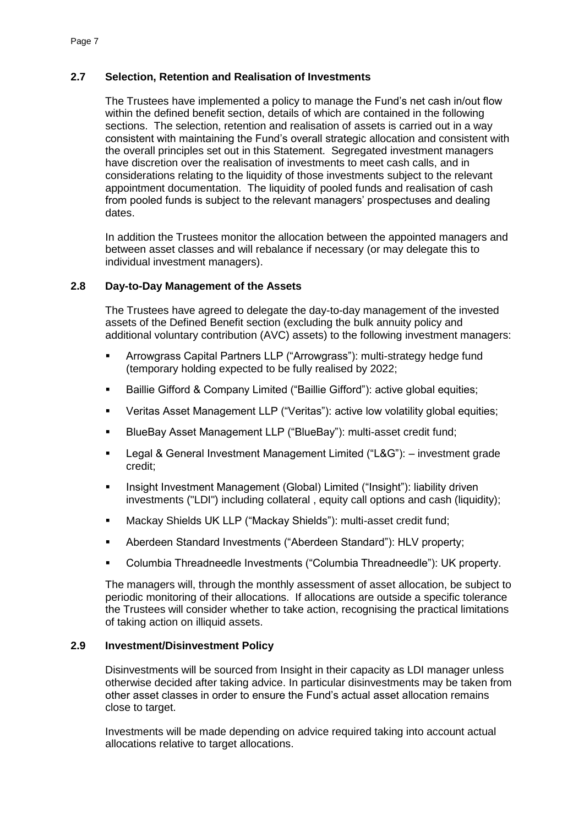# **2.7 Selection, Retention and Realisation of Investments**

The Trustees have implemented a policy to manage the Fund's net cash in/out flow within the defined benefit section, details of which are contained in the following sections. The selection, retention and realisation of assets is carried out in a way consistent with maintaining the Fund's overall strategic allocation and consistent with the overall principles set out in this Statement. Segregated investment managers have discretion over the realisation of investments to meet cash calls, and in considerations relating to the liquidity of those investments subject to the relevant appointment documentation. The liquidity of pooled funds and realisation of cash from pooled funds is subject to the relevant managers' prospectuses and dealing dates.

In addition the Trustees monitor the allocation between the appointed managers and between asset classes and will rebalance if necessary (or may delegate this to individual investment managers).

# **2.8 Day-to-Day Management of the Assets**

The Trustees have agreed to delegate the day-to-day management of the invested assets of the Defined Benefit section (excluding the bulk annuity policy and additional voluntary contribution (AVC) assets) to the following investment managers:

- Arrowgrass Capital Partners LLP ("Arrowgrass"): multi-strategy hedge fund (temporary holding expected to be fully realised by 2022;
- Baillie Gifford & Company Limited ("Baillie Gifford"): active global equities;
- Veritas Asset Management LLP ("Veritas"): active low volatility global equities;
- BlueBay Asset Management LLP ("BlueBay"): multi-asset credit fund;
- Legal & General Investment Management Limited ("L&G"): investment grade credit;
- Insight Investment Management (Global) Limited ("Insight"): liability driven investments ("LDI") including collateral , equity call options and cash (liquidity);
- Mackay Shields UK LLP ("Mackay Shields"): multi-asset credit fund;
- Aberdeen Standard Investments ("Aberdeen Standard"): HLV property;
- Columbia Threadneedle Investments ("Columbia Threadneedle"): UK property.

The managers will, through the monthly assessment of asset allocation, be subject to periodic monitoring of their allocations. If allocations are outside a specific tolerance the Trustees will consider whether to take action, recognising the practical limitations of taking action on illiquid assets.

# **2.9 Investment/Disinvestment Policy**

Disinvestments will be sourced from Insight in their capacity as LDI manager unless otherwise decided after taking advice. In particular disinvestments may be taken from other asset classes in order to ensure the Fund's actual asset allocation remains close to target.

Investments will be made depending on advice required taking into account actual allocations relative to target allocations.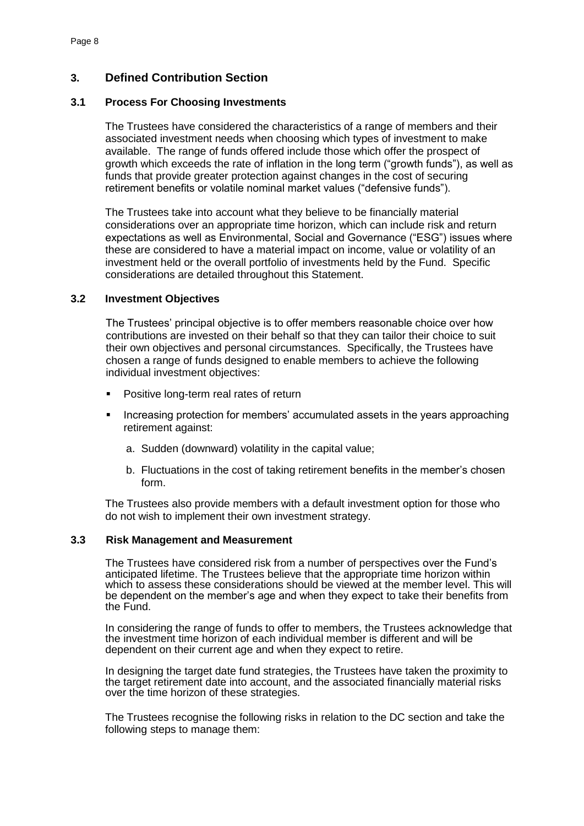# **3. Defined Contribution Section**

### **3.1 Process For Choosing Investments**

The Trustees have considered the characteristics of a range of members and their associated investment needs when choosing which types of investment to make available. The range of funds offered include those which offer the prospect of growth which exceeds the rate of inflation in the long term ("growth funds"), as well as funds that provide greater protection against changes in the cost of securing retirement benefits or volatile nominal market values ("defensive funds").

The Trustees take into account what they believe to be financially material considerations over an appropriate time horizon, which can include risk and return expectations as well as Environmental, Social and Governance ("ESG") issues where these are considered to have a material impact on income, value or volatility of an investment held or the overall portfolio of investments held by the Fund. Specific considerations are detailed throughout this Statement.

# **3.2 Investment Objectives**

The Trustees' principal objective is to offer members reasonable choice over how contributions are invested on their behalf so that they can tailor their choice to suit their own objectives and personal circumstances. Specifically, the Trustees have chosen a range of funds designed to enable members to achieve the following individual investment objectives:

- Positive long-term real rates of return
- Increasing protection for members' accumulated assets in the years approaching retirement against:
	- a. Sudden (downward) volatility in the capital value;
	- b. Fluctuations in the cost of taking retirement benefits in the member's chosen form.

The Trustees also provide members with a default investment option for those who do not wish to implement their own investment strategy.

#### **3.3 Risk Management and Measurement**

The Trustees have considered risk from a number of perspectives over the Fund's anticipated lifetime. The Trustees believe that the appropriate time horizon within which to assess these considerations should be viewed at the member level. This will be dependent on the member's age and when they expect to take their benefits from the Fund.

In considering the range of funds to offer to members, the Trustees acknowledge that the investment time horizon of each individual member is different and will be dependent on their current age and when they expect to retire.

In designing the target date fund strategies, the Trustees have taken the proximity to the target retirement date into account, and the associated financially material risks over the time horizon of these strategies.

The Trustees recognise the following risks in relation to the DC section and take the following steps to manage them: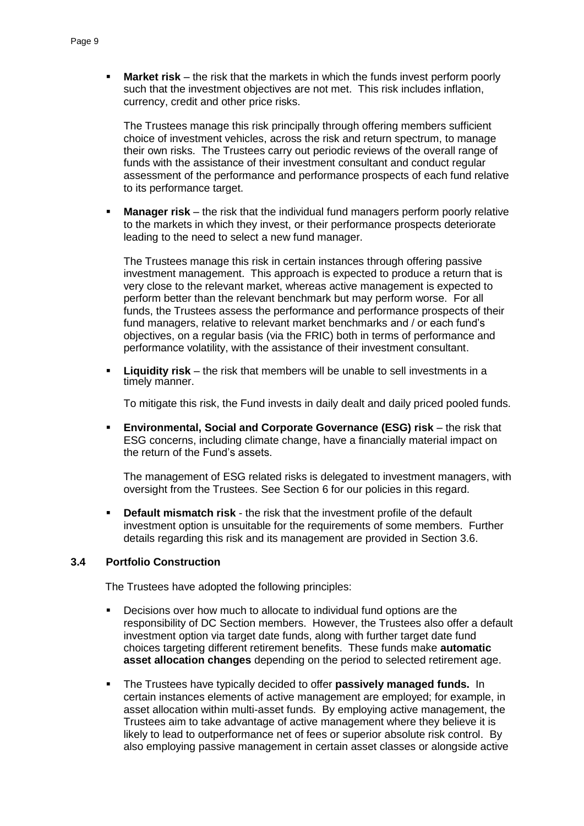**Market risk** – the risk that the markets in which the funds invest perform poorly such that the investment objectives are not met. This risk includes inflation, currency, credit and other price risks.

The Trustees manage this risk principally through offering members sufficient choice of investment vehicles, across the risk and return spectrum, to manage their own risks. The Trustees carry out periodic reviews of the overall range of funds with the assistance of their investment consultant and conduct regular assessment of the performance and performance prospects of each fund relative to its performance target.

 **Manager risk** – the risk that the individual fund managers perform poorly relative to the markets in which they invest, or their performance prospects deteriorate leading to the need to select a new fund manager.

The Trustees manage this risk in certain instances through offering passive investment management. This approach is expected to produce a return that is very close to the relevant market, whereas active management is expected to perform better than the relevant benchmark but may perform worse. For all funds, the Trustees assess the performance and performance prospects of their fund managers, relative to relevant market benchmarks and / or each fund's objectives, on a regular basis (via the FRIC) both in terms of performance and performance volatility, with the assistance of their investment consultant.

 **Liquidity risk** – the risk that members will be unable to sell investments in a timely manner.

To mitigate this risk, the Fund invests in daily dealt and daily priced pooled funds.

 **Environmental, Social and Corporate Governance (ESG) risk** – the risk that ESG concerns, including climate change, have a financially material impact on the return of the Fund's assets.

The management of ESG related risks is delegated to investment managers, with oversight from the Trustees. See Section 6 for our policies in this regard.

 **Default mismatch risk** - the risk that the investment profile of the default investment option is unsuitable for the requirements of some members. Further details regarding this risk and its management are provided in Section 3.6.

#### **3.4 Portfolio Construction**

The Trustees have adopted the following principles:

- Decisions over how much to allocate to individual fund options are the responsibility of DC Section members. However, the Trustees also offer a default investment option via target date funds, along with further target date fund choices targeting different retirement benefits. These funds make **automatic asset allocation changes** depending on the period to selected retirement age.
- The Trustees have typically decided to offer **passively managed funds.** In certain instances elements of active management are employed; for example, in asset allocation within multi-asset funds. By employing active management, the Trustees aim to take advantage of active management where they believe it is likely to lead to outperformance net of fees or superior absolute risk control. By also employing passive management in certain asset classes or alongside active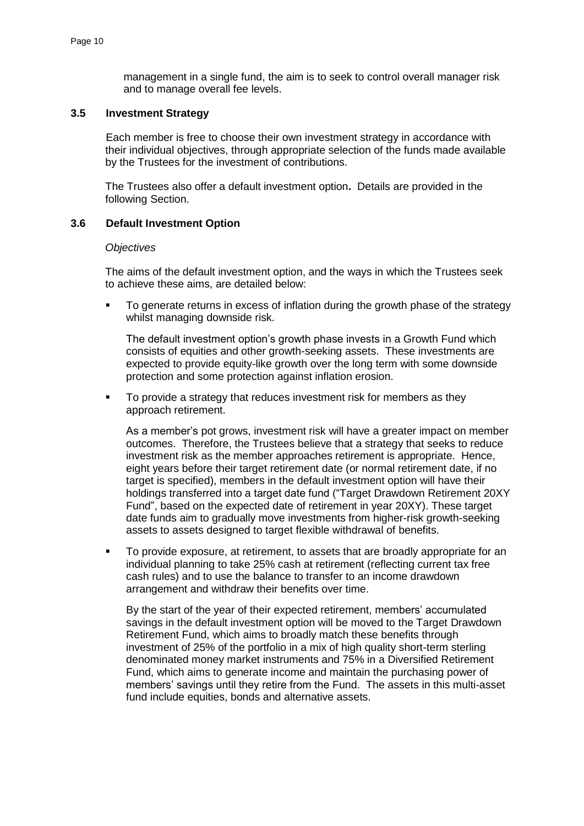management in a single fund, the aim is to seek to control overall manager risk and to manage overall fee levels.

### **3.5 Investment Strategy**

Each member is free to choose their own investment strategy in accordance with their individual objectives, through appropriate selection of the funds made available by the Trustees for the investment of contributions.

The Trustees also offer a default investment option**.** Details are provided in the following Section.

#### **3.6 Default Investment Option**

#### *Objectives*

The aims of the default investment option, and the ways in which the Trustees seek to achieve these aims, are detailed below:

 To generate returns in excess of inflation during the growth phase of the strategy whilst managing downside risk.

The default investment option's growth phase invests in a Growth Fund which consists of equities and other growth-seeking assets. These investments are expected to provide equity-like growth over the long term with some downside protection and some protection against inflation erosion.

To provide a strategy that reduces investment risk for members as they approach retirement.

As a member's pot grows, investment risk will have a greater impact on member outcomes. Therefore, the Trustees believe that a strategy that seeks to reduce investment risk as the member approaches retirement is appropriate. Hence, eight years before their target retirement date (or normal retirement date, if no target is specified), members in the default investment option will have their holdings transferred into a target date fund ("Target Drawdown Retirement 20XY Fund", based on the expected date of retirement in year 20XY). These target date funds aim to gradually move investments from higher-risk growth-seeking assets to assets designed to target flexible withdrawal of benefits.

To provide exposure, at retirement, to assets that are broadly appropriate for an individual planning to take 25% cash at retirement (reflecting current tax free cash rules) and to use the balance to transfer to an income drawdown arrangement and withdraw their benefits over time.

By the start of the year of their expected retirement, members' accumulated savings in the default investment option will be moved to the Target Drawdown Retirement Fund, which aims to broadly match these benefits through investment of 25% of the portfolio in a mix of high quality short-term sterling denominated money market instruments and 75% in a Diversified Retirement Fund, which aims to generate income and maintain the purchasing power of members' savings until they retire from the Fund. The assets in this multi-asset fund include equities, bonds and alternative assets.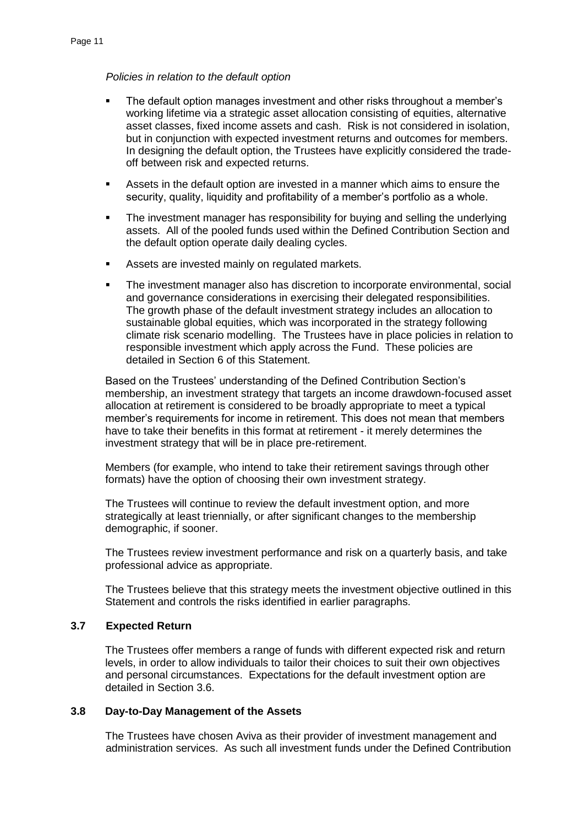*Policies in relation to the default option*

- The default option manages investment and other risks throughout a member's working lifetime via a strategic asset allocation consisting of equities, alternative asset classes, fixed income assets and cash. Risk is not considered in isolation, but in conjunction with expected investment returns and outcomes for members. In designing the default option, the Trustees have explicitly considered the tradeoff between risk and expected returns.
- Assets in the default option are invested in a manner which aims to ensure the security, quality, liquidity and profitability of a member's portfolio as a whole.
- The investment manager has responsibility for buying and selling the underlying assets. All of the pooled funds used within the Defined Contribution Section and the default option operate daily dealing cycles.
- **Assets are invested mainly on regulated markets.**
- The investment manager also has discretion to incorporate environmental, social and governance considerations in exercising their delegated responsibilities. The growth phase of the default investment strategy includes an allocation to sustainable global equities, which was incorporated in the strategy following climate risk scenario modelling. The Trustees have in place policies in relation to responsible investment which apply across the Fund. These policies are detailed in Section 6 of this Statement.

Based on the Trustees' understanding of the Defined Contribution Section's membership, an investment strategy that targets an income drawdown-focused asset allocation at retirement is considered to be broadly appropriate to meet a typical member's requirements for income in retirement. This does not mean that members have to take their benefits in this format at retirement - it merely determines the investment strategy that will be in place pre-retirement.

Members (for example, who intend to take their retirement savings through other formats) have the option of choosing their own investment strategy.

The Trustees will continue to review the default investment option, and more strategically at least triennially, or after significant changes to the membership demographic, if sooner.

The Trustees review investment performance and risk on a quarterly basis, and take professional advice as appropriate.

The Trustees believe that this strategy meets the investment objective outlined in this Statement and controls the risks identified in earlier paragraphs.

# **3.7 Expected Return**

The Trustees offer members a range of funds with different expected risk and return levels, in order to allow individuals to tailor their choices to suit their own objectives and personal circumstances. Expectations for the default investment option are detailed in Section 3.6.

### **3.8 Day-to-Day Management of the Assets**

The Trustees have chosen Aviva as their provider of investment management and administration services. As such all investment funds under the Defined Contribution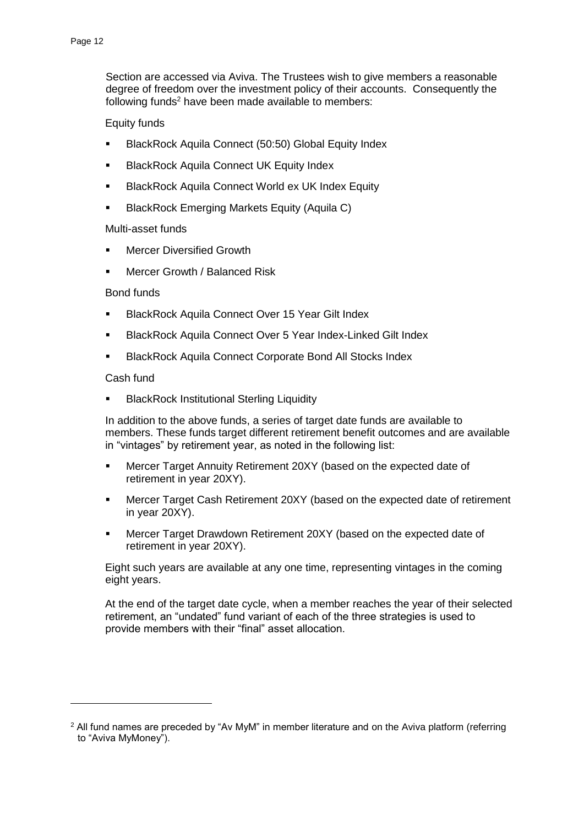Section are accessed via Aviva. The Trustees wish to give members a reasonable degree of freedom over the investment policy of their accounts. Consequently the following funds $2$  have been made available to members:

### Equity funds

- **BlackRock Aquila Connect (50:50) Global Equity Index**
- BlackRock Aquila Connect UK Equity Index
- **BlackRock Aquila Connect World ex UK Index Equity**
- BlackRock Emerging Markets Equity (Aquila C)

# Multi-asset funds

- Mercer Diversified Growth
- Mercer Growth / Balanced Risk

#### Bond funds

- **BlackRock Aquila Connect Over 15 Year Gilt Index**
- **BlackRock Aquila Connect Over 5 Year Index-Linked Gilt Index**
- BlackRock Aquila Connect Corporate Bond All Stocks Index

#### Cash fund

<u>.</u>

BlackRock Institutional Sterling Liquidity

In addition to the above funds, a series of target date funds are available to members. These funds target different retirement benefit outcomes and are available in "vintages" by retirement year, as noted in the following list:

- **Mercer Target Annuity Retirement 20XY (based on the expected date of** retirement in year 20XY).
- Mercer Target Cash Retirement 20XY (based on the expected date of retirement in year 20XY).
- Mercer Target Drawdown Retirement 20XY (based on the expected date of retirement in year 20XY).

Eight such years are available at any one time, representing vintages in the coming eight years.

At the end of the target date cycle, when a member reaches the year of their selected retirement, an "undated" fund variant of each of the three strategies is used to provide members with their "final" asset allocation.

 $2$  All fund names are preceded by "Av MyM" in member literature and on the Aviva platform (referring to "Aviva MyMoney").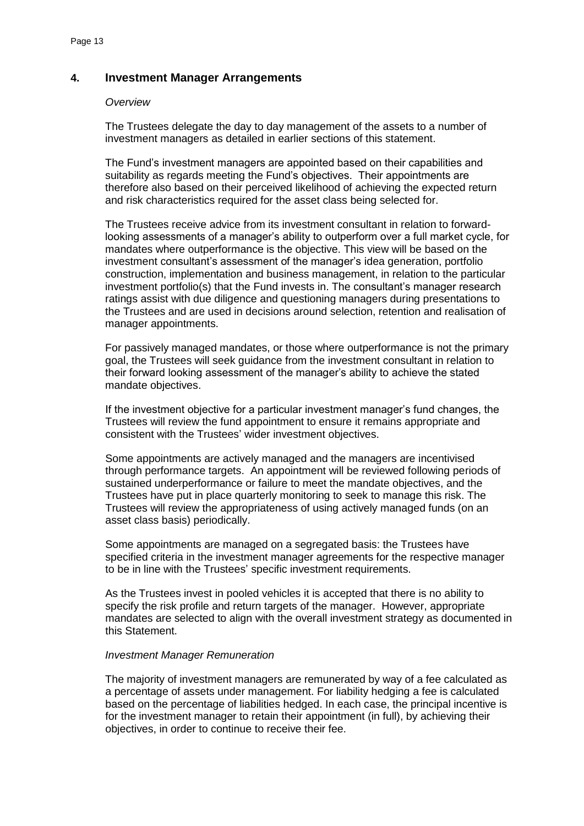# **4. Investment Manager Arrangements**

#### *Overview*

The Trustees delegate the day to day management of the assets to a number of investment managers as detailed in earlier sections of this statement.

The Fund's investment managers are appointed based on their capabilities and suitability as regards meeting the Fund's objectives. Their appointments are therefore also based on their perceived likelihood of achieving the expected return and risk characteristics required for the asset class being selected for.

The Trustees receive advice from its investment consultant in relation to forwardlooking assessments of a manager's ability to outperform over a full market cycle, for mandates where outperformance is the objective. This view will be based on the investment consultant's assessment of the manager's idea generation, portfolio construction, implementation and business management, in relation to the particular investment portfolio(s) that the Fund invests in. The consultant's manager research ratings assist with due diligence and questioning managers during presentations to the Trustees and are used in decisions around selection, retention and realisation of manager appointments.

For passively managed mandates, or those where outperformance is not the primary goal, the Trustees will seek guidance from the investment consultant in relation to their forward looking assessment of the manager's ability to achieve the stated mandate objectives.

If the investment objective for a particular investment manager's fund changes, the Trustees will review the fund appointment to ensure it remains appropriate and consistent with the Trustees' wider investment objectives.

Some appointments are actively managed and the managers are incentivised through performance targets. An appointment will be reviewed following periods of sustained underperformance or failure to meet the mandate objectives, and the Trustees have put in place quarterly monitoring to seek to manage this risk. The Trustees will review the appropriateness of using actively managed funds (on an asset class basis) periodically.

Some appointments are managed on a segregated basis: the Trustees have specified criteria in the investment manager agreements for the respective manager to be in line with the Trustees' specific investment requirements.

As the Trustees invest in pooled vehicles it is accepted that there is no ability to specify the risk profile and return targets of the manager. However, appropriate mandates are selected to align with the overall investment strategy as documented in this Statement.

#### *Investment Manager Remuneration*

The majority of investment managers are remunerated by way of a fee calculated as a percentage of assets under management. For liability hedging a fee is calculated based on the percentage of liabilities hedged. In each case, the principal incentive is for the investment manager to retain their appointment (in full), by achieving their objectives, in order to continue to receive their fee.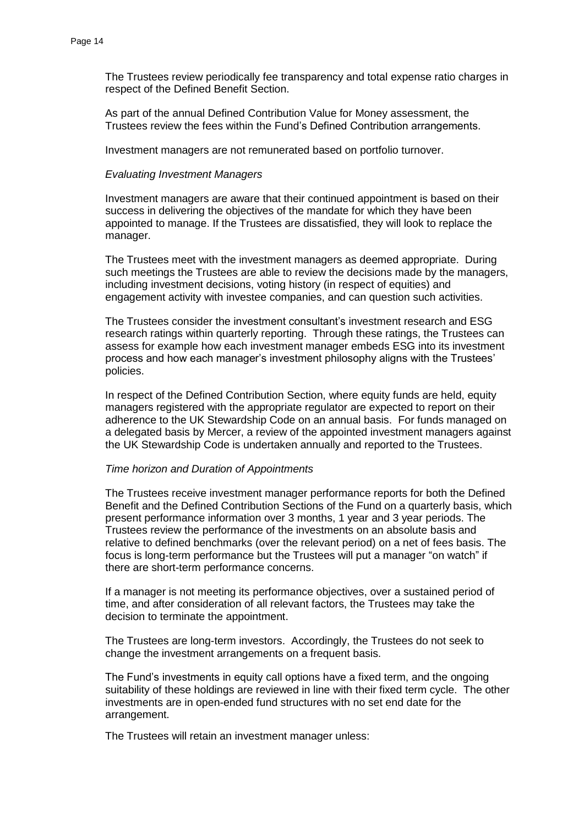The Trustees review periodically fee transparency and total expense ratio charges in respect of the Defined Benefit Section.

As part of the annual Defined Contribution Value for Money assessment, the Trustees review the fees within the Fund's Defined Contribution arrangements.

Investment managers are not remunerated based on portfolio turnover.

#### *Evaluating Investment Managers*

Investment managers are aware that their continued appointment is based on their success in delivering the objectives of the mandate for which they have been appointed to manage. If the Trustees are dissatisfied, they will look to replace the manager.

The Trustees meet with the investment managers as deemed appropriate. During such meetings the Trustees are able to review the decisions made by the managers, including investment decisions, voting history (in respect of equities) and engagement activity with investee companies, and can question such activities.

The Trustees consider the investment consultant's investment research and ESG research ratings within quarterly reporting. Through these ratings, the Trustees can assess for example how each investment manager embeds ESG into its investment process and how each manager's investment philosophy aligns with the Trustees' policies.

In respect of the Defined Contribution Section, where equity funds are held, equity managers registered with the appropriate regulator are expected to report on their adherence to the UK Stewardship Code on an annual basis. For funds managed on a delegated basis by Mercer, a review of the appointed investment managers against the UK Stewardship Code is undertaken annually and reported to the Trustees.

#### *Time horizon and Duration of Appointments*

The Trustees receive investment manager performance reports for both the Defined Benefit and the Defined Contribution Sections of the Fund on a quarterly basis, which present performance information over 3 months, 1 year and 3 year periods. The Trustees review the performance of the investments on an absolute basis and relative to defined benchmarks (over the relevant period) on a net of fees basis. The focus is long-term performance but the Trustees will put a manager "on watch" if there are short-term performance concerns.

If a manager is not meeting its performance objectives, over a sustained period of time, and after consideration of all relevant factors, the Trustees may take the decision to terminate the appointment.

The Trustees are long-term investors. Accordingly, the Trustees do not seek to change the investment arrangements on a frequent basis.

The Fund's investments in equity call options have a fixed term, and the ongoing suitability of these holdings are reviewed in line with their fixed term cycle. The other investments are in open-ended fund structures with no set end date for the arrangement.

The Trustees will retain an investment manager unless: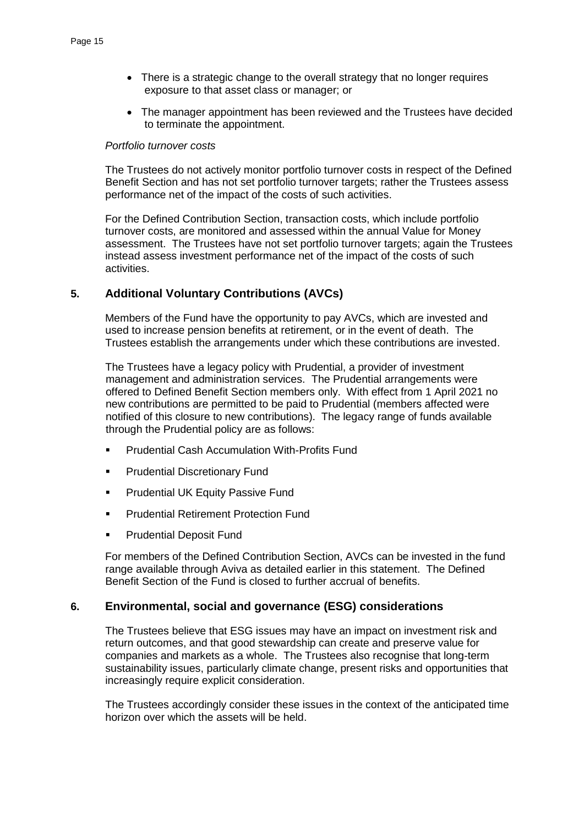- There is a strategic change to the overall strategy that no longer requires exposure to that asset class or manager; or
- The manager appointment has been reviewed and the Trustees have decided to terminate the appointment.

#### *Portfolio turnover costs*

The Trustees do not actively monitor portfolio turnover costs in respect of the Defined Benefit Section and has not set portfolio turnover targets; rather the Trustees assess performance net of the impact of the costs of such activities.

For the Defined Contribution Section, transaction costs, which include portfolio turnover costs, are monitored and assessed within the annual Value for Money assessment. The Trustees have not set portfolio turnover targets; again the Trustees instead assess investment performance net of the impact of the costs of such activities.

# **5. Additional Voluntary Contributions (AVCs)**

Members of the Fund have the opportunity to pay AVCs, which are invested and used to increase pension benefits at retirement, or in the event of death. The Trustees establish the arrangements under which these contributions are invested.

The Trustees have a legacy policy with Prudential, a provider of investment management and administration services. The Prudential arrangements were offered to Defined Benefit Section members only. With effect from 1 April 2021 no new contributions are permitted to be paid to Prudential (members affected were notified of this closure to new contributions). The legacy range of funds available through the Prudential policy are as follows:

- Prudential Cash Accumulation With-Profits Fund
- Prudential Discretionary Fund
- **Prudential UK Equity Passive Fund**
- **Prudential Retirement Protection Fund**
- **Prudential Deposit Fund**

For members of the Defined Contribution Section, AVCs can be invested in the fund range available through Aviva as detailed earlier in this statement. The Defined Benefit Section of the Fund is closed to further accrual of benefits.

# **6. Environmental, social and governance (ESG) considerations**

The Trustees believe that ESG issues may have an impact on investment risk and return outcomes, and that good stewardship can create and preserve value for companies and markets as a whole. The Trustees also recognise that long-term sustainability issues, particularly climate change, present risks and opportunities that increasingly require explicit consideration.

The Trustees accordingly consider these issues in the context of the anticipated time horizon over which the assets will be held.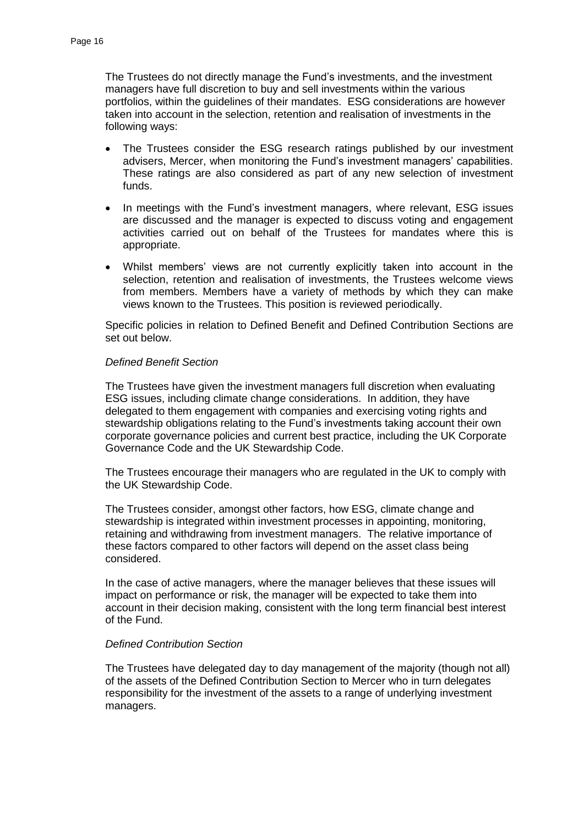The Trustees do not directly manage the Fund's investments, and the investment managers have full discretion to buy and sell investments within the various portfolios, within the guidelines of their mandates. ESG considerations are however taken into account in the selection, retention and realisation of investments in the following ways:

- The Trustees consider the ESG research ratings published by our investment advisers, Mercer, when monitoring the Fund's investment managers' capabilities. These ratings are also considered as part of any new selection of investment funds.
- In meetings with the Fund's investment managers, where relevant, ESG issues are discussed and the manager is expected to discuss voting and engagement activities carried out on behalf of the Trustees for mandates where this is appropriate.
- Whilst members' views are not currently explicitly taken into account in the selection, retention and realisation of investments, the Trustees welcome views from members. Members have a variety of methods by which they can make views known to the Trustees. This position is reviewed periodically.

Specific policies in relation to Defined Benefit and Defined Contribution Sections are set out below.

# *Defined Benefit Section*

The Trustees have given the investment managers full discretion when evaluating ESG issues, including climate change considerations. In addition, they have delegated to them engagement with companies and exercising voting rights and stewardship obligations relating to the Fund's investments taking account their own corporate governance policies and current best practice, including the UK Corporate Governance Code and the UK Stewardship Code.

The Trustees encourage their managers who are regulated in the UK to comply with the UK Stewardship Code.

The Trustees consider, amongst other factors, how ESG, climate change and stewardship is integrated within investment processes in appointing, monitoring, retaining and withdrawing from investment managers. The relative importance of these factors compared to other factors will depend on the asset class being considered.

In the case of active managers, where the manager believes that these issues will impact on performance or risk, the manager will be expected to take them into account in their decision making, consistent with the long term financial best interest of the Fund.

#### *Defined Contribution Section*

The Trustees have delegated day to day management of the majority (though not all) of the assets of the Defined Contribution Section to Mercer who in turn delegates responsibility for the investment of the assets to a range of underlying investment managers.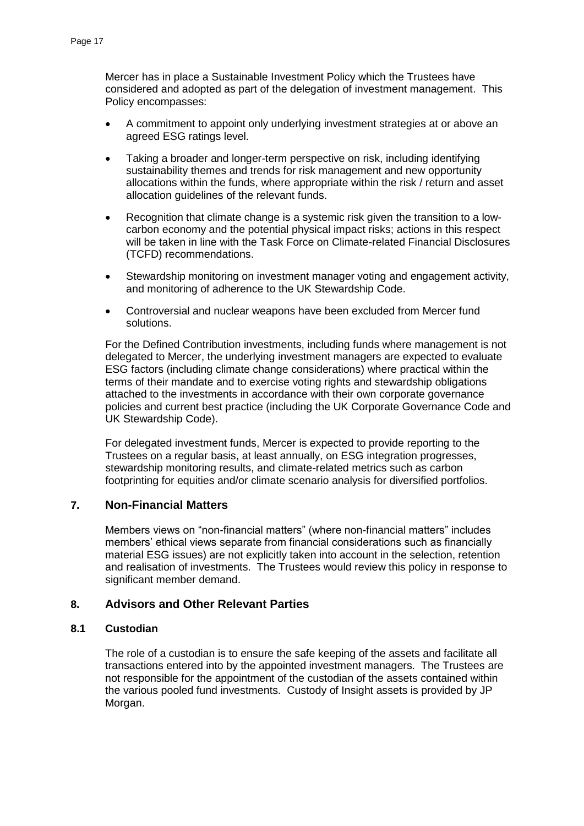Mercer has in place a Sustainable Investment Policy which the Trustees have considered and adopted as part of the delegation of investment management. This Policy encompasses:

- A commitment to appoint only underlying investment strategies at or above an agreed ESG ratings level.
- Taking a broader and longer-term perspective on risk, including identifying sustainability themes and trends for risk management and new opportunity allocations within the funds, where appropriate within the risk / return and asset allocation guidelines of the relevant funds.
- Recognition that climate change is a systemic risk given the transition to a lowcarbon economy and the potential physical impact risks; actions in this respect will be taken in line with the Task Force on Climate-related Financial Disclosures (TCFD) recommendations.
- Stewardship monitoring on investment manager voting and engagement activity, and monitoring of adherence to the UK Stewardship Code.
- Controversial and nuclear weapons have been excluded from Mercer fund solutions.

For the Defined Contribution investments, including funds where management is not delegated to Mercer, the underlying investment managers are expected to evaluate ESG factors (including climate change considerations) where practical within the terms of their mandate and to exercise voting rights and stewardship obligations attached to the investments in accordance with their own corporate governance policies and current best practice (including the UK Corporate Governance Code and UK Stewardship Code).

For delegated investment funds, Mercer is expected to provide reporting to the Trustees on a regular basis, at least annually, on ESG integration progresses, stewardship monitoring results, and climate-related metrics such as carbon footprinting for equities and/or climate scenario analysis for diversified portfolios.

# **7. Non-Financial Matters**

Members views on "non-financial matters" (where non-financial matters" includes members' ethical views separate from financial considerations such as financially material ESG issues) are not explicitly taken into account in the selection, retention and realisation of investments. The Trustees would review this policy in response to significant member demand.

# **8. Advisors and Other Relevant Parties**

# **8.1 Custodian**

The role of a custodian is to ensure the safe keeping of the assets and facilitate all transactions entered into by the appointed investment managers. The Trustees are not responsible for the appointment of the custodian of the assets contained within the various pooled fund investments. Custody of Insight assets is provided by JP Morgan.